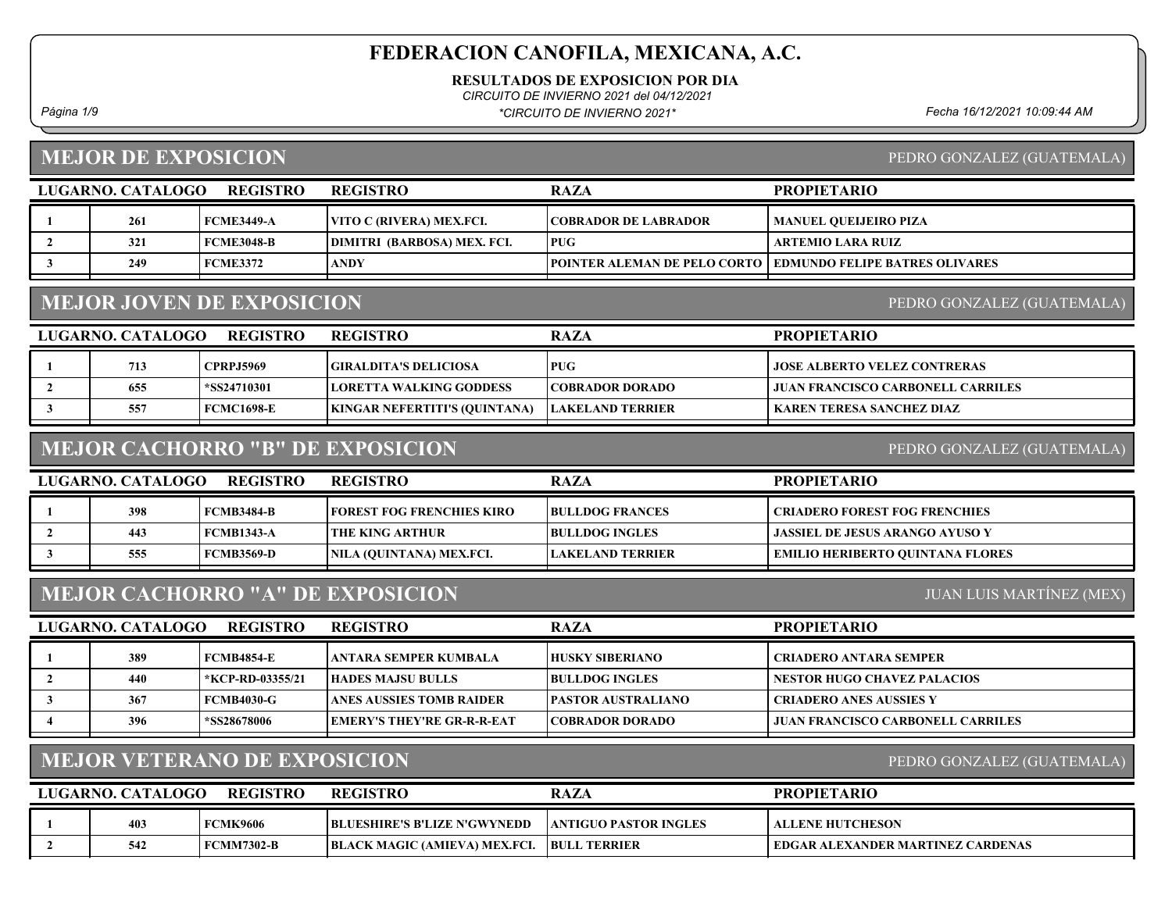RESULTADOS DE EXPOSICION POR DIA

CIRCUITO DE INVIERNO 2021 del 04/12/2021

Página 1/9 Fecha 16/12/2021 10:09:44 AM \*CIRCUITO DE INVIERNO 2021\*

# MEJOR DE EXPOSICION

|                | LUGARNO. CATALOGO                                                     | <b>REGISTRO</b>                     | <b>REGISTRO</b>                         | <b>RAZA</b>                  | <b>PROPIETARIO</b>                       |  |  |  |
|----------------|-----------------------------------------------------------------------|-------------------------------------|-----------------------------------------|------------------------------|------------------------------------------|--|--|--|
|                | 261                                                                   | <b>FCME3449-A</b>                   | VITO C (RIVERA) MEX.FCI.                | <b>COBRADOR DE LABRADOR</b>  | <b>MANUEL QUEIJEIRO PIZA</b>             |  |  |  |
| $\overline{2}$ | 321                                                                   | <b>FCME3048-B</b>                   | <b>DIMITRI (BARBOSA) MEX. FCI.</b>      | <b>PUG</b>                   | <b>ARTEMIO LARA RUIZ</b>                 |  |  |  |
| 3              | 249                                                                   | <b>FCME3372</b>                     | <b>ANDY</b>                             | POINTER ALEMAN DE PELO CORTO | <b>EDMUNDO FELIPE BATRES OLIVARES</b>    |  |  |  |
|                | <b>MEJOR JOVEN DE EXPOSICION</b><br>PEDRO GONZALEZ (GUATEMALA)        |                                     |                                         |                              |                                          |  |  |  |
|                | LUGARNO. CATALOGO                                                     | <b>REGISTRO</b>                     | <b>REGISTRO</b>                         | <b>RAZA</b>                  | <b>PROPIETARIO</b>                       |  |  |  |
|                | 713                                                                   | <b>CPRPJ5969</b>                    | <b>GIRALDITA'S DELICIOSA</b>            | <b>PUG</b>                   | <b>JOSE ALBERTO VELEZ CONTRERAS</b>      |  |  |  |
| $\overline{2}$ | 655                                                                   | *SS24710301                         | LORETTA WALKING GODDESS                 | <b>COBRADOR DORADO</b>       | JUAN FRANCISCO CARBONELL CARRILES        |  |  |  |
| 3              | 557                                                                   | <b>FCMC1698-E</b>                   | <b>KINGAR NEFERTITI'S (QUINTANA)</b>    | <b>LAKELAND TERRIER</b>      | <b>KAREN TERESA SANCHEZ DIAZ</b>         |  |  |  |
|                | <b>MEJOR CACHORRO "B" DE EXPOSICION</b><br>PEDRO GONZALEZ (GUATEMALA) |                                     |                                         |                              |                                          |  |  |  |
|                | LUGARNO. CATALOGO                                                     | <b>REGISTRO</b>                     | <b>REGISTRO</b>                         | <b>RAZA</b>                  | <b>PROPIETARIO</b>                       |  |  |  |
|                | 398                                                                   | <b>FCMB3484-B</b>                   | <b>FOREST FOG FRENCHIES KIRO</b>        | <b>BULLDOG FRANCES</b>       | <b>CRIADERO FOREST FOG FRENCHIES</b>     |  |  |  |
| $\overline{2}$ | 443                                                                   | <b>FCMB1343-A</b>                   | THE KING ARTHUR                         | <b>BULLDOG INGLES</b>        | <b>JASSIEL DE JESUS ARANGO AYUSO Y</b>   |  |  |  |
| 3              | 555                                                                   | <b>FCMB3569-D</b>                   | NILA (QUINTANA) MEX.FCI.                | <b>LAKELAND TERRIER</b>      | <b>EMILIO HERIBERTO QUINTANA FLORES</b>  |  |  |  |
|                |                                                                       |                                     | <b>MEJOR CACHORRO "A" DE EXPOSICION</b> |                              | <b>JUAN LUIS MARTÍNEZ (MEX)</b>          |  |  |  |
|                | LUGARNO. CATALOGO                                                     | <b>REGISTRO</b>                     | <b>REGISTRO</b>                         | <b>RAZA</b>                  | <b>PROPIETARIO</b>                       |  |  |  |
| 1              | 389                                                                   | <b>FCMB4854-E</b>                   | ANTARA SEMPER KUMBALA                   | <b>HUSKY SIBERIANO</b>       | <b>CRIADERO ANTARA SEMPER</b>            |  |  |  |
| $\overline{2}$ | 440                                                                   | *KCP-RD-03355/21                    | <b>HADES MAJSU BULLS</b>                | <b>BULLDOG INGLES</b>        | <b>NESTOR HUGO CHAVEZ PALACIOS</b>       |  |  |  |
| 3              |                                                                       | <b>FCMB4030-G</b>                   | ANES AUSSIES TOMB RAIDER                | <b>PASTOR AUSTRALIANO</b>    | <b>CRIADERO ANES AUSSIES Y</b>           |  |  |  |
|                | 367                                                                   |                                     |                                         |                              |                                          |  |  |  |
|                | 396                                                                   | *SS28678006                         | EMERY'S THEY'RE GR-R-R-EAT              | <b>COBRADOR DORADO</b>       | <b>JUAN FRANCISCO CARBONELL CARRILES</b> |  |  |  |
|                |                                                                       | <b>MEJOR VETERANO DE EXPOSICION</b> |                                         |                              | PEDRO GONZALEZ (GUATEMALA)               |  |  |  |

| 403 | <b>FCMK9606</b>   | <b>BLUESHIRE'S B'LIZE N'GWYNEDD</b>          | <b>LANTIGUO PASTOR INGLES</b> | <b>ALLENE HUTCHESON</b>                                       |
|-----|-------------------|----------------------------------------------|-------------------------------|---------------------------------------------------------------|
| 542 | <b>FCMM7302-B</b> | <b>BLACK</b><br>(AMIEVA) MEX.FCI.<br>: MAGIC | <b>BULL</b><br><b>TERRIER</b> | <b>ARDENAS</b><br><b>XANDER MARTINEZ</b><br><b>EDGAR ALEX</b> |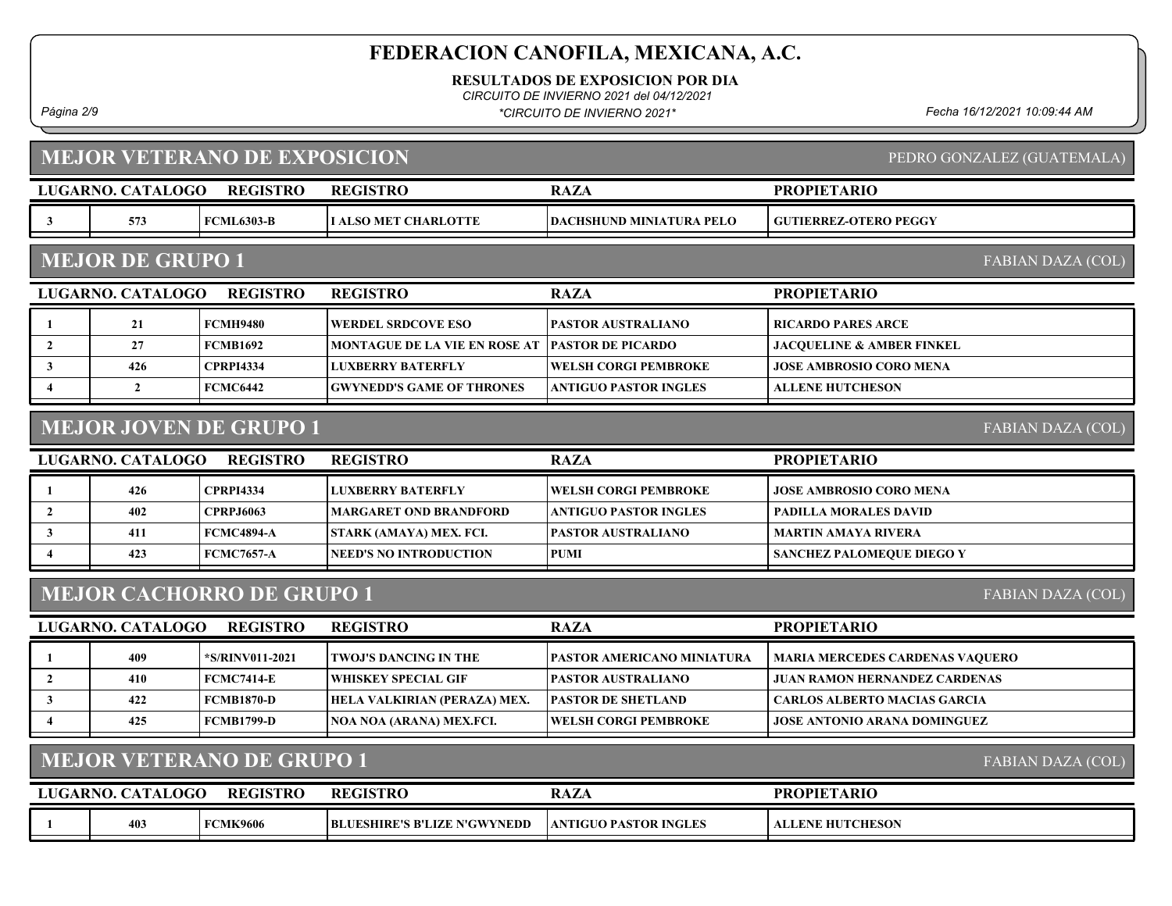RESULTADOS DE EXPOSICION POR DIA

CIRCUITO DE INVIERNO 2021 del 04/12/2021

Página 2/9 Fecha 16/12/2021 10:09:44 AM \*CIRCUITO DE INVIERNO 2021\*

MEJOR VETERANO DE EXPOSICION

| <b>MEJOR VETERANO DE EXPOSICION</b> |                                                           |                                  |                                     |                                 | PEDRO GONZALEZ (GUATEMALA)             |  |  |  |  |
|-------------------------------------|-----------------------------------------------------------|----------------------------------|-------------------------------------|---------------------------------|----------------------------------------|--|--|--|--|
|                                     | LUGARNO. CATALOGO                                         | <b>REGISTRO</b>                  | <b>REGISTRO</b>                     | <b>RAZA</b>                     | <b>PROPIETARIO</b>                     |  |  |  |  |
| $\mathbf{3}$                        | 573                                                       | <b>FCML6303-B</b>                | I ALSO MET CHARLOTTE                | <b>DACHSHUND MINIATURA PELO</b> | <b>GUTIERREZ-OTERO PEGGY</b>           |  |  |  |  |
|                                     | <b>MEJOR DE GRUPO 1</b><br><b>FABIAN DAZA (COL)</b>       |                                  |                                     |                                 |                                        |  |  |  |  |
|                                     | LUGARNO. CATALOGO                                         | <b>REGISTRO</b>                  | <b>REGISTRO</b>                     | <b>RAZA</b>                     | <b>PROPIETARIO</b>                     |  |  |  |  |
| -1                                  | 21                                                        | <b>FCMH9480</b>                  | <b>WERDEL SRDCOVE ESO</b>           | <b>PASTOR AUSTRALIANO</b>       | <b>RICARDO PARES ARCE</b>              |  |  |  |  |
| $\overline{2}$                      | 27                                                        | <b>FCMB1692</b>                  | MONTAGUE DE LA VIE EN ROSE AT       | <b>PASTOR DE PICARDO</b>        | JACQUELINE & AMBER FINKEL              |  |  |  |  |
| $\mathbf{3}$                        | 426                                                       | <b>CPRPI4334</b>                 | LUXBERRY BATERFLY                   | WELSH CORGI PEMBROKE            | <b>JOSE AMBROSIO CORO MENA</b>         |  |  |  |  |
| $\overline{\mathbf{4}}$             | $\overline{2}$                                            | <b>FCMC6442</b>                  | <b>GWYNEDD'S GAME OF THRONES</b>    | <b>ANTIGUO PASTOR INGLES</b>    | <b>ALLENE HUTCHESON</b>                |  |  |  |  |
|                                     | <b>MEJOR JOVEN DE GRUPO 1</b><br><b>FABIAN DAZA (COL)</b> |                                  |                                     |                                 |                                        |  |  |  |  |
|                                     | LUGARNO. CATALOGO                                         | <b>REGISTRO</b>                  | <b>REGISTRO</b>                     | <b>RAZA</b>                     | <b>PROPIETARIO</b>                     |  |  |  |  |
| -1                                  | 426                                                       | <b>CPRPI4334</b>                 | <b>LUXBERRY BATERFLY</b>            | <b>WELSH CORGI PEMBROKE</b>     | <b>JOSE AMBROSIO CORO MENA</b>         |  |  |  |  |
| $\overline{2}$                      | 402                                                       | <b>CPRPJ6063</b>                 | <b>MARGARET OND BRANDFORD</b>       | <b>ANTIGUO PASTOR INGLES</b>    | <b>PADILLA MORALES DAVID</b>           |  |  |  |  |
| $\mathbf{3}$                        | 411                                                       | <b>FCMC4894-A</b>                | STARK (AMAYA) MEX. FCI.             | <b>PASTOR AUSTRALIANO</b>       | <b>MARTIN AMAYA RIVERA</b>             |  |  |  |  |
| $\overline{\mathbf{4}}$             | 423                                                       | <b>FCMC7657-A</b>                | <b>NEED'S NO INTRODUCTION</b>       | <b>PUMI</b>                     | <b>SANCHEZ PALOMEQUE DIEGO Y</b>       |  |  |  |  |
|                                     |                                                           | <b>MEJOR CACHORRO DE GRUPO 1</b> |                                     |                                 | <b>FABIAN DAZA (COL)</b>               |  |  |  |  |
|                                     | LUGARNO. CATALOGO                                         | <b>REGISTRO</b>                  | <b>REGISTRO</b>                     | <b>RAZA</b>                     | <b>PROPIETARIO</b>                     |  |  |  |  |
| 1                                   | 409                                                       | *S/RINV011-2021                  | <b>TWOJ'S DANCING IN THE</b>        | PASTOR AMERICANO MINIATURA      | <b>MARIA MERCEDES CARDENAS VAQUERO</b> |  |  |  |  |
| $\overline{2}$                      | 410                                                       | <b>FCMC7414-E</b>                | <b>WHISKEY SPECIAL GIF</b>          | PASTOR AUSTRALIANO              | <b>JUAN RAMON HERNANDEZ CARDENAS</b>   |  |  |  |  |
| $\mathbf{3}$                        | 422                                                       | <b>FCMB1870-D</b>                | HELA VALKIRIAN (PERAZA) MEX.        | <b>PASTOR DE SHETLAND</b>       | <b>CARLOS ALBERTO MACIAS GARCIA</b>    |  |  |  |  |
| 4                                   | 425                                                       | <b>FCMB1799-D</b>                | <b>NOA NOA (ARANA) MEX.FCI.</b>     | WELSH CORGI PEMBROKE            | <b>JOSE ANTONIO ARANA DOMINGUEZ</b>    |  |  |  |  |
|                                     |                                                           | <b>MEJOR VETERANO DE GRUPO 1</b> |                                     |                                 | <b>FABIAN DAZA (COL)</b>               |  |  |  |  |
|                                     | LUGARNO. CATALOGO                                         | <b>REGISTRO</b>                  | <b>REGISTRO</b>                     | <b>RAZA</b>                     | <b>PROPIETARIO</b>                     |  |  |  |  |
| -1                                  | 403                                                       | <b>FCMK9606</b>                  | <b>BLUESHIRE'S B'LIZE N'GWYNEDD</b> | <b>ANTIGUO PASTOR INGLES</b>    | <b>ALLENE HUTCHESON</b>                |  |  |  |  |
|                                     |                                                           |                                  |                                     |                                 |                                        |  |  |  |  |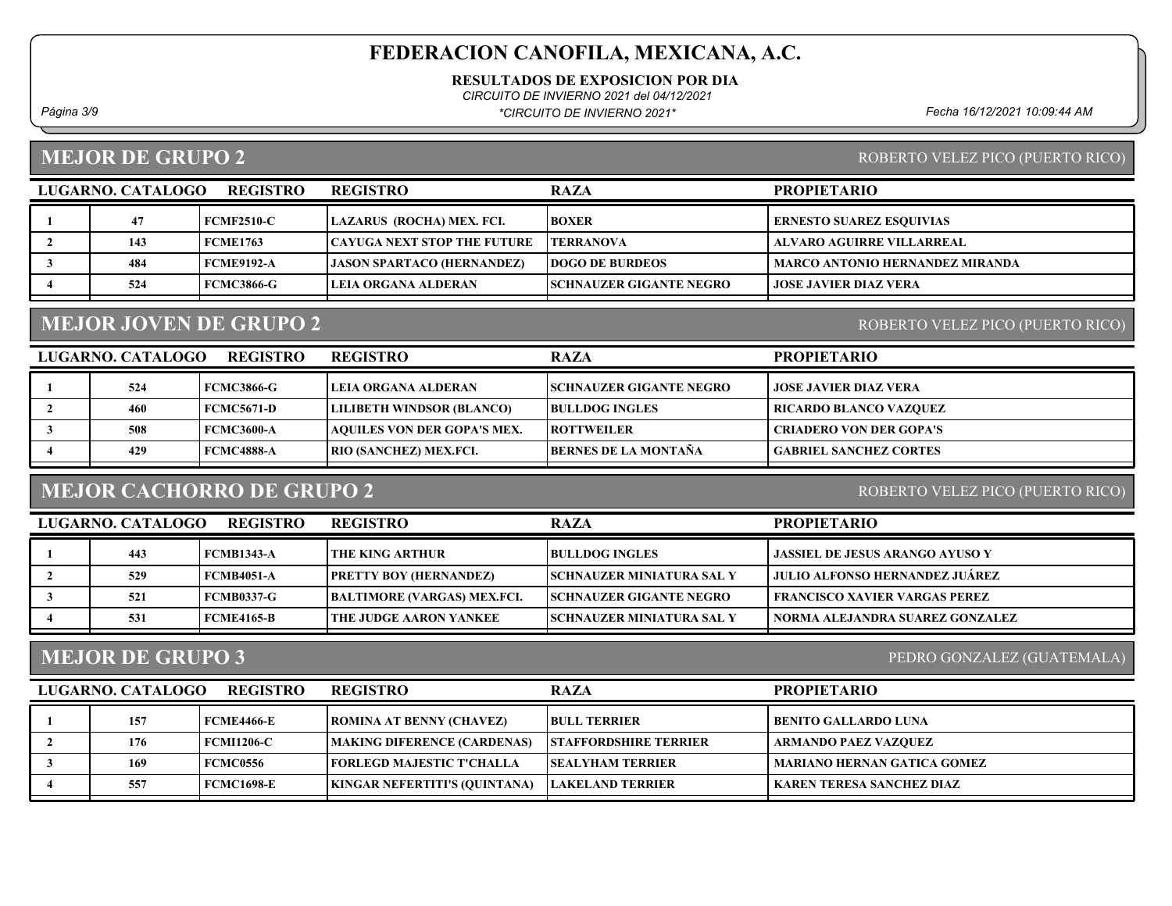RESULTADOS DE EXPOSICION POR DIA

CIRCUITO DE INVIERNO 2021 del 04/12/2021

Página 3/9 Fecha 16/12/2021 10:09:44 AM \*CIRCUITO DE INVIERNO 2021\*

#### MEJOR DE GRUPO 2

#### ROBERTO VELEZ PICO (PUERTO RICO)

| LUGARNO. CATALOGO | <b>REGISTRO</b> | <b>REGISTRO</b>                    | <b>RAZA</b>                    | <b>PROPIETARIO</b>               |
|-------------------|-----------------|------------------------------------|--------------------------------|----------------------------------|
| 47                | FCMF2510-C      | LAZARUS (ROCHA) MEX. FCI.          | <b>BOXER</b>                   | <b>ERNESTO SUAREZ ESQUIVIAS</b>  |
| 143               | <b>FCME1763</b> | <b>CAYUGA NEXT STOP THE FUTURE</b> | <b>TERRANOVA</b>               | <b>ALVARO AGUIRRE VILLARREAL</b> |
| 484               | FCME9192-A      | JASON SPARTACO (HERNANDEZ)         | <b>DOGO DE BURDEOS</b>         | MARCO ANTONIO HERNANDEZ MIRANDA  |
| 524               | FCMC3866-G      | LEIA ORGANA ALDERAN                | <b>SCHNAUZER GIGANTE NEGRO</b> | <b>LIOSE JAVIER DIAZ VERA</b>    |
|                   |                 |                                    |                                |                                  |

## MEJOR JOVEN DE GRUPO 2

#### ROBERTO VELEZ PICO (PUERTO RICO)

| LUGARNO. CATALOGO | <b>REGISTRO</b>   | <b>REGISTRO</b>                    | <b>RAZA</b>                    | <b>PROPIETARIO</b>             |
|-------------------|-------------------|------------------------------------|--------------------------------|--------------------------------|
| 524               | <b>FCMC3866-G</b> | <b>LEIA ORGANA ALDERAN</b>         | <b>SCHNAUZER GIGANTE NEGRO</b> | JOSE JAVIER DIAZ VERA          |
| 460               | <b>FCMC5671-D</b> | <b>LILIBETH WINDSOR (BLANCO)</b>   | <b>BULLDOG INGLES</b>          | <b>RICARDO BLANCO VAZQUEZ</b>  |
| 508               | FCMC3600-A        | <b>AQUILES VON DER GOPA'S MEX.</b> | <b>ROTTWEILER</b>              | <b>CRIADERO VON DER GOPA'S</b> |
| 429               | <b>FCMC4888-A</b> | <b>RIO (SANCHEZ) MEX.FCI.</b>      | <b>BERNES DE LA MONTAÑA</b>    | <b>GABRIEL SANCHEZ CORTES</b>  |

# MEJOR CACHORRO DE GRUPO 2

ROBERTO VELEZ PICO (PUERTO RICO)

| LUGARNO. CATALOGO | <b>REGISTRO</b>   | <b>REGISTRO</b>                    | <b>RAZA</b>                      | <b>PROPIETARIO</b>                     |
|-------------------|-------------------|------------------------------------|----------------------------------|----------------------------------------|
| 443               | FCMB1343-A        | I THE KING ARTHUR                  | <b>BULLDOG INGLES</b>            | <b>JASSIEL DE JESUS ARANGO AYUSO Y</b> |
| 529               | <b>FCMB4051-A</b> | <b>PRETTY BOY (HERNANDEZ)</b>      | <b>SCHNAUZER MINIATURA SAL Y</b> | JULIO ALFONSO HERNANDEZ JUÁREZ         |
| 521               | FCMB0337-G        | <b>BALTIMORE (VARGAS) MEX.FCI.</b> | <b>SCHNAUZER GIGANTE NEGRO</b>   | <b>FRANCISCO XAVIER VARGAS PEREZ</b>   |
| 531               | FCME4165-B        | THE JUDGE AARON YANKEE             | <b>SCHNAUZER MINIATURA SAL Y</b> | NORMA ALEJANDRA SUAREZ GONZALEZ        |
|                   |                   |                                    |                                  |                                        |

#### MEJOR DE GRUPO 3

| LUGARNO. CATALOGO | <b>REGISTRO</b>   | <b>REGISTRO</b>               | <b>RAZA</b>                  | <b>PROPIETARIO</b>               |
|-------------------|-------------------|-------------------------------|------------------------------|----------------------------------|
| 157               | <b>FCME4466-E</b> | ROMINA AT BENNY (CHAVEZ)      | <b>BULL TERRIER</b>          | <b>BENITO GALLARDO LUNA</b>      |
| 176               | <b>FCMI1206-C</b> | MAKING DIFERENCE (CARDENAS)   | <b>STAFFORDSHIRE TERRIER</b> | <b>ARMANDO PAEZ VAZOUEZ</b>      |
| 169               | FCMC0556          | FORLEGD MAJESTIC T'CHALLA     | <b>SEALYHAM TERRIER</b>      | MARIANO HERNAN GATICA GOMEZ      |
| 557               | <b>FCMC1698-E</b> | KINGAR NEFERTITI'S (OUINTANA) | <b>LAKELAND TERRIER</b>      | <b>KAREN TERESA SANCHEZ DIAZ</b> |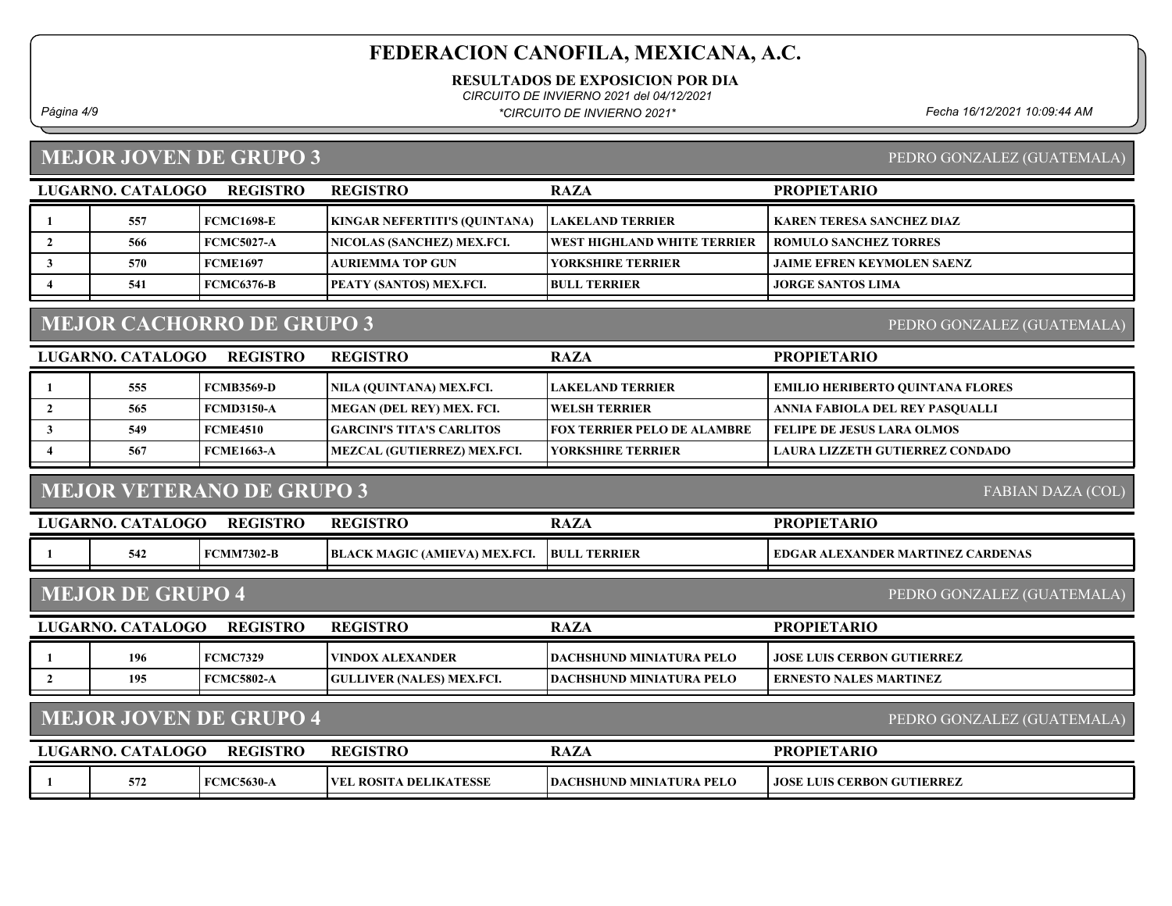RESULTADOS DE EXPOSICION POR DIA

CIRCUITO DE INVIERNO 2021 del 04/12/2021

Página 4/9 Fecha 16/12/2021 10:09:44 AM \*CIRCUITO DE INVIERNO 2021\*

#### MEJOR JOVEN DE GRUPO 3

PEDRO GONZALEZ (GUATEMALA)

| LUGARNO. CATALOGO | <b>REGISTRO</b>   | <b>REGISTRO</b>                      | <b>RAZA</b>                        | <b>PROPIETARIO</b>                |
|-------------------|-------------------|--------------------------------------|------------------------------------|-----------------------------------|
| 557               | FCMC1698-E        | <b>KINGAR NEFERTITI'S (QUINTANA)</b> | LAKELAND TERRIER                   | KAREN TERESA SANCHEZ DIAZ         |
| 566               | <b>FCMC5027-A</b> | NICOLAS (SANCHEZ) MEX.FCI.           | <b>WEST HIGHLAND WHITE TERRIER</b> | <b>ROMULO SANCHEZ TORRES</b>      |
| 570               | <b>FCME1697</b>   | <b>AURIEMMA TOP GUN</b>              | I YORKSHIRE TERRIER                | <b>JAIME EFREN KEYMOLEN SAENZ</b> |
| 541               | <b>FCMC6376-B</b> | <b>PEATY (SANTOS) MEX.FCI.</b>       | <b>BULL TERRIER</b>                | <b>JORGE SANTOS LIMA</b>          |
|                   |                   |                                      |                                    |                                   |

# MEJOR CACHORRO DE GRUPO 3

PEDRO GONZALEZ (GUATEMALA)

| LUGARNO. CATALOGO | <b>REGISTRO</b>   | <b>REGISTRO</b>             | <b>RAZA</b>                        | <b>PROPIETARIO</b>                      |
|-------------------|-------------------|-----------------------------|------------------------------------|-----------------------------------------|
| 555               | FCMB3569-D        | NILA (QUINTANA) MEX.FCI.    | LAKELAND TERRIER                   | <b>EMILIO HERIBERTO QUINTANA FLORES</b> |
| 565               | <b>FCMD3150-A</b> | MEGAN (DEL REY) MEX. FCI.   | <b>IWELSH TERRIER</b>              | ANNIA FABIOLA DEL REY PASOUALLI         |
| 549               | FCME4510          | GARCINI'S TITA'S CARLITOS   | <b>FOX TERRIER PELO DE ALAMBRE</b> | FELIPE DE JESUS LARA OLMOS              |
| 567               | <b>FCME1663-A</b> | MEZCAL (GUTIERREZ) MEX.FCI. | <b>TYORKSHIRE TERRIER</b>          | <b>LAURA LIZZETH GUTIERREZ CONDADO</b>  |

#### MEJOR VETERANO DE GRUPO 3

LUGARNO. CATALOGO REGISTRO RAZA PROPIETARIO REGISTRO 1 542 FCMM7302-B BLACK MAGIC (AMIEVA) MEX.FCI. BULL TERRIER BOGAR ALEXANDER MARTINEZ CARDENAS

MEJOR DE GRUPO 4

PEDRO GONZALEZ (GUATEMALA)

FABIAN DAZA (COL)

| LUGARNO, CATALOGO | <b>REGISTRO</b> | <b>REGISTRO</b>                  | <b>RAZA</b>                      | <b>PROPIETARIO</b>                |
|-------------------|-----------------|----------------------------------|----------------------------------|-----------------------------------|
| 196               | FCMC7329        | <b>IVINDOX ALEXANDER</b>         | <b>IDACHSHUND MINIATURA PELO</b> | <b>JOSE LUIS CERBON GUTIERREZ</b> |
| 195               | FCMC5802-A      | <b>GULLIVER (NALES) MEX.FCI.</b> | <b>TDACHSHUND MINIATURA PELO</b> | ERNESTO NALES MARTINEZ            |

#### MEJOR JOVEN DE GRUPO 4

| LUGARNO. CATALOGO | <b>REGISTRO</b>   | <b>REGISTRO</b>               | <b>RAZA</b>                     | <b>PROPIET</b><br>TARIC             |
|-------------------|-------------------|-------------------------------|---------------------------------|-------------------------------------|
| 572               | <b>FCMC5630-A</b> | <b>VEL ROSITA DELIKATESSE</b> | <b>DACHSHUND MINIATURA PELO</b> | <b>I JOSE LUIS CERBON GUTIERREZ</b> |
|                   |                   |                               |                                 |                                     |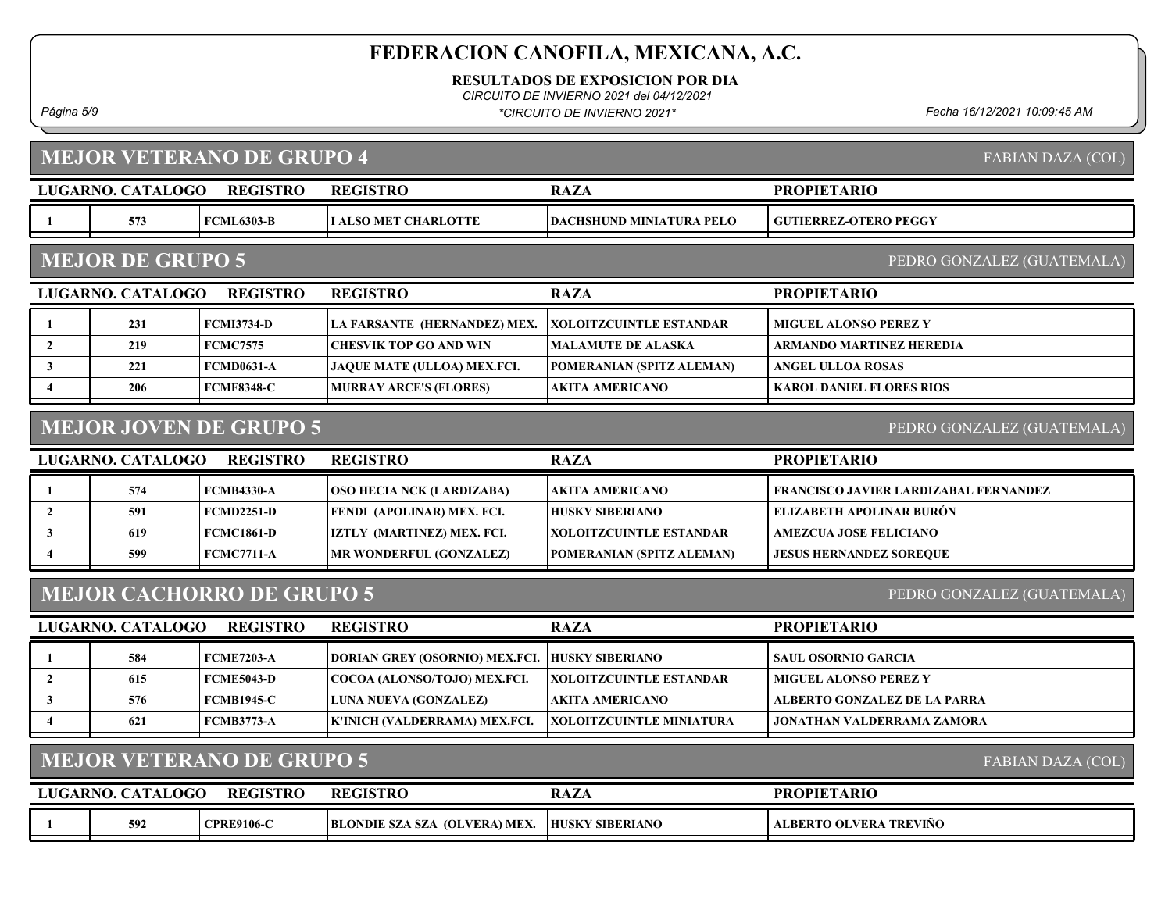RESULTADOS DE EXPOSICION POR DIA

CIRCUITO DE INVIERNO 2021 del 04/12/2021

Página 5/9 Fecha 16/12/2021 10:09:45 AM \*CIRCUITO DE INVIERNO 2021\*

PEDRO GONZALEZ (GUATEMALA)

#### LUGARNO. CATALOGO REGISTRO RAZA MEJOR VETERANO DE GRUPO 4 PROPIETARIO REGISTRO 1 **573** FCML6303-B I ALSO MET CHARLOTTE DACHSHUND MINIATURA PELO GUTIERREZ-OTERO PEGGY LUGARNO. CATALOGO REGISTRO RAZA MEJOR DE GRUPO 5 PROPIETARIO REGISTRO 1 231 FCMI3734-D LA FARSANTE (HERNANDEZ) MEX. XOLOITZCUINTLE ESTANDAR MIGUEL ALONSO PEREZ Y 2 219 FCMC7575 CHESVIK TOP GO AND WIN MALAMUTE DE ALASKA ARMANDO MARTINEZ HEREDIA 3 221 FCMD0631-A JAQUE MATE (ULLOA) MEX.FCI. POMERANIAN (SPITZ ALEMAN) ANGEL ULLOA ROSAS 4 206 FCMF8348-C MURRAY ARCE'S (FLORES) AKITA AMERICANO KAROL DANIEL FLORES RIOS LUGARNO. CATALOGO REGISTRO RAZA MEJOR JOVEN DE GRUPO 5 PROPIETARIO REGISTRO 1 574 FCMB4330-A OSO HECIA NCK (LARDIZABA) AKITA AMERICANO FRANCISCO JAVIER LARDIZABAL FERNANDEZ 2 | 591 FCMD2251-D FENDI (APOLINAR) MEX. FCI. HUSKY SIBERIANO | ELIZABETH APOLINAR BURÓN 3 619 FCMC1861-D IZTLY (MARTINEZ) MEX. FCI. XOLOITZCUINTLE ESTANDAR AMEZCUA JOSE FELICIANO 4 599 FCMC7711-A MR WONDERFUL (GONZALEZ) POMERANIAN (SPITZ ALEMAN) JESUS HERNANDEZ SOREQUE LUGARNO. CATALOGO REGISTRO REGISTRO NAZA MEJOR CACHORRO DE GRUPO 5 PROPIETARIO REGISTRO 1 584 FCME7203-A DORIAN GREY (OSORNIO) MEX.FCI. HUSKY SIBERIANO SAUL OSORNIO GARCIA 2 615 FCME5043-D COCOA (ALONSO/TOJO) MEX.FCI. XOLOITZCUINTLE ESTANDAR MIGUEL ALONSO PEREZ Y 3 576 FCMB1945-C LUNA NUEVA (GONZALEZ) ALBERTO GONZALEZ DE LA PARRA AKITA AMERICANO 4 621 FCMB3773-A K'INICH (VALDERRAMA) MEX.FCI. JONATHAN VALDERRAMA ZAMORA XOLOITZCUINTLE MINIATURA

#### MEJOR VETERANO DE GRUPO 5

| FABIAN DAZA (COL) |  |  |
|-------------------|--|--|

| <b>LUGARNO</b> | <b>CATALOGO</b> | <b>REGISTRO</b>   | <b>REGISTRO</b>                                                                                          | <b>RAZA</b>                 | <b>PROPIETARIO</b>            |
|----------------|-----------------|-------------------|----------------------------------------------------------------------------------------------------------|-----------------------------|-------------------------------|
|                | 592             | <b>CPRE9106-C</b> | VERA) MEX.<br>CT<br>$\mathbf{BLO}_{1}$<br>ONDIE SZA<br>(OL<br>$\boldsymbol{1}$ $\boldsymbol{5}$<br>. SLA | <b>HUSKY</b><br>' SIBERIANO | <b>ALBERTO OLVERA TREVIÑO</b> |

FABIAN DAZA (COL)

PEDRO GONZALEZ (GUATEMALA)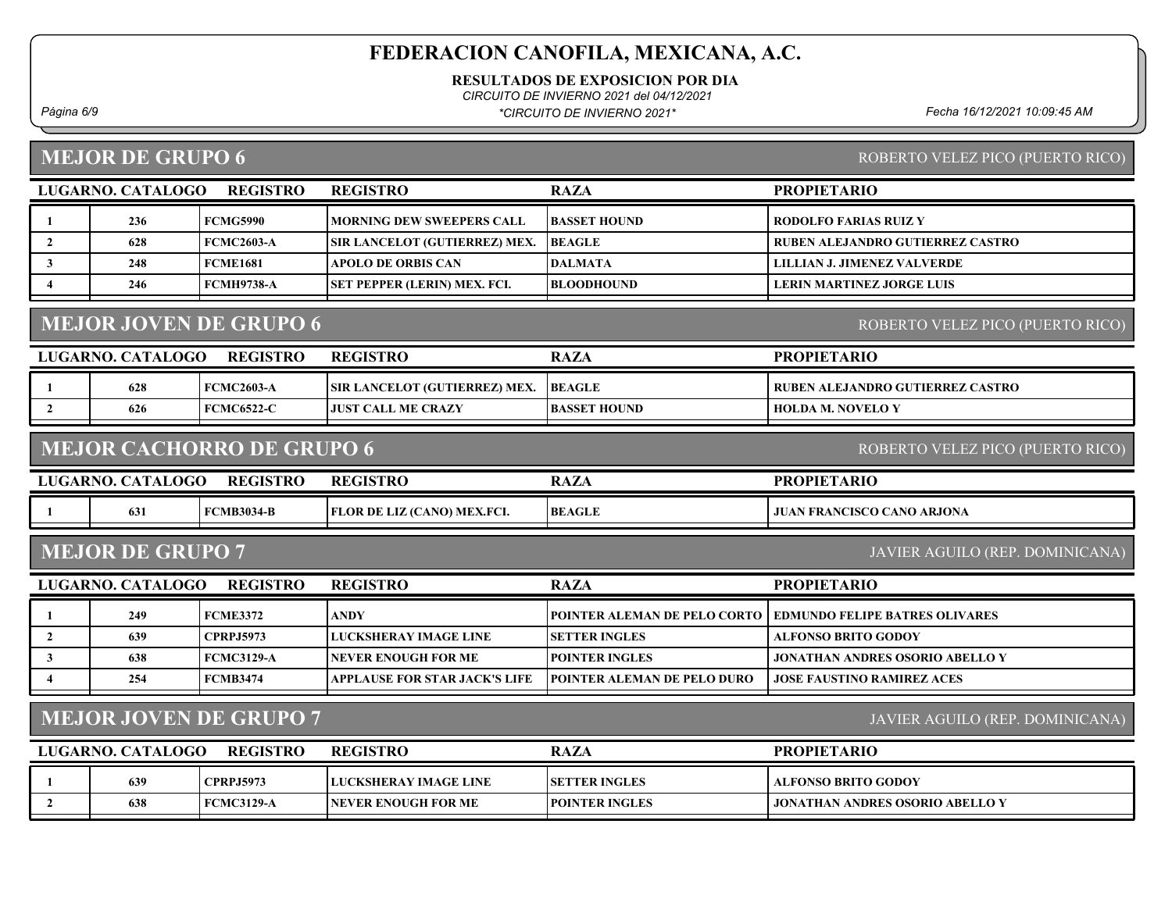RESULTADOS DE EXPOSICION POR DIA

CIRCUITO DE INVIERNO 2021 del 04/12/2021

Página 6/9 Fecha 16/12/2021 10:09:45 AM \*CIRCUITO DE INVIERNO 2021\*

# MEJOR DE GRUPO 6

ROBERTO VELEZ PICO (PUERTO RICO)

|                       | LUGARNO. CATALOGO                                                       | <b>REGISTRO</b>                  | <b>REGISTRO</b>                      | <b>RAZA</b>                  | <b>PROPIETARIO</b>                      |  |
|-----------------------|-------------------------------------------------------------------------|----------------------------------|--------------------------------------|------------------------------|-----------------------------------------|--|
| -1                    | 236                                                                     | <b>FCMG5990</b>                  | MORNING DEW SWEEPERS CALL            | <b>BASSET HOUND</b>          | <b>RODOLFO FARIAS RUIZ Y</b>            |  |
| $\overline{2}$        | 628                                                                     | <b>FCMC2603-A</b>                | SIR LANCELOT (GUTIERREZ) MEX.        | <b>BEAGLE</b>                | <b>RUBEN ALEJANDRO GUTIERREZ CASTRO</b> |  |
| $\mathbf{3}$          | 248                                                                     | <b>FCME1681</b>                  | <b>APOLO DE ORBIS CAN</b>            | <b>DALMATA</b>               | LILLIAN J. JIMENEZ VALVERDE             |  |
| $\boldsymbol{\Delta}$ | 246                                                                     | <b>FCMH9738-A</b>                | SET PEPPER (LERIN) MEX. FCI.         | <b>BLOODHOUND</b>            | <b>LERIN MARTINEZ JORGE LUIS</b>        |  |
|                       |                                                                         | <b>MEJOR JOVEN DE GRUPO 6</b>    |                                      |                              | ROBERTO VELEZ PICO (PUERTO RICO)        |  |
|                       | LUGARNO. CATALOGO                                                       | <b>REGISTRO</b>                  | <b>REGISTRO</b>                      | <b>RAZA</b>                  | <b>PROPIETARIO</b>                      |  |
| 1                     | 628                                                                     | <b>FCMC2603-A</b>                | SIR LANCELOT (GUTIERREZ) MEX.        | <b>BEAGLE</b>                | <b>RUBEN ALEJANDRO GUTIERREZ CASTRO</b> |  |
| $\overline{2}$        | 626                                                                     | <b>FCMC6522-C</b>                | <b>JUST CALL ME CRAZY</b>            | <b>BASSET HOUND</b>          | <b>HOLDA M. NOVELO Y</b>                |  |
|                       |                                                                         | <b>MEJOR CACHORRO DE GRUPO 6</b> |                                      |                              | ROBERTO VELEZ PICO (PUERTO RICO)        |  |
|                       | LUGARNO. CATALOGO                                                       | <b>REGISTRO</b>                  | <b>REGISTRO</b>                      | <b>RAZA</b>                  | <b>PROPIETARIO</b>                      |  |
| -1                    | 631                                                                     | <b>FCMB3034-B</b>                | FLOR DE LIZ (CANO) MEX.FCI.          | <b>BEAGLE</b>                | <b>JUAN FRANCISCO CANO ARJONA</b>       |  |
|                       | <b>MEJOR DE GRUPO 7</b>                                                 |                                  |                                      |                              | JAVIER AGUILO (REP. DOMINICANA)         |  |
|                       | LUGARNO. CATALOGO                                                       | <b>REGISTRO</b>                  | <b>REGISTRO</b>                      | <b>RAZA</b>                  | <b>PROPIETARIO</b>                      |  |
| $\mathbf{1}$          | 249                                                                     | <b>FCME3372</b>                  | ANDY                                 | POINTER ALEMAN DE PELO CORTO | <b>EDMUNDO FELIPE BATRES OLIVARES</b>   |  |
| $\overline{2}$        | 639                                                                     | <b>CPRPJ5973</b>                 | LUCKSHERAY IMAGE LINE                | <b>SETTER INGLES</b>         | <b>ALFONSO BRITO GODOY</b>              |  |
| $\mathbf{3}$          | 638                                                                     | <b>FCMC3129-A</b>                | NEVER ENOUGH FOR ME                  | <b>POINTER INGLES</b>        | <b>JONATHAN ANDRES OSORIO ABELLO Y</b>  |  |
| $\overline{\bf{4}}$   | 254                                                                     | <b>FCMB3474</b>                  | <b>APPLAUSE FOR STAR JACK'S LIFE</b> | POINTER ALEMAN DE PELO DURO  | <b>JOSE FAUSTINO RAMIREZ ACES</b>       |  |
|                       | <b>MEJOR JOVEN DE GRUPO 7</b><br><b>JAVIER AGUILO (REP. DOMINICANA)</b> |                                  |                                      |                              |                                         |  |
|                       | <b>LUGARNO. CATALOGO</b>                                                | <b>REGISTRO</b>                  | <b>REGISTRO</b>                      | <b>RAZA</b>                  | <b>PROPIETARIO</b>                      |  |
|                       |                                                                         |                                  |                                      |                              |                                         |  |
|                       | 639                                                                     | <b>CPRPJ5973</b>                 | LUCKSHERAY IMAGE LINE                | <b>SETTER INGLES</b>         | <b>ALFONSO BRITO GODOY</b>              |  |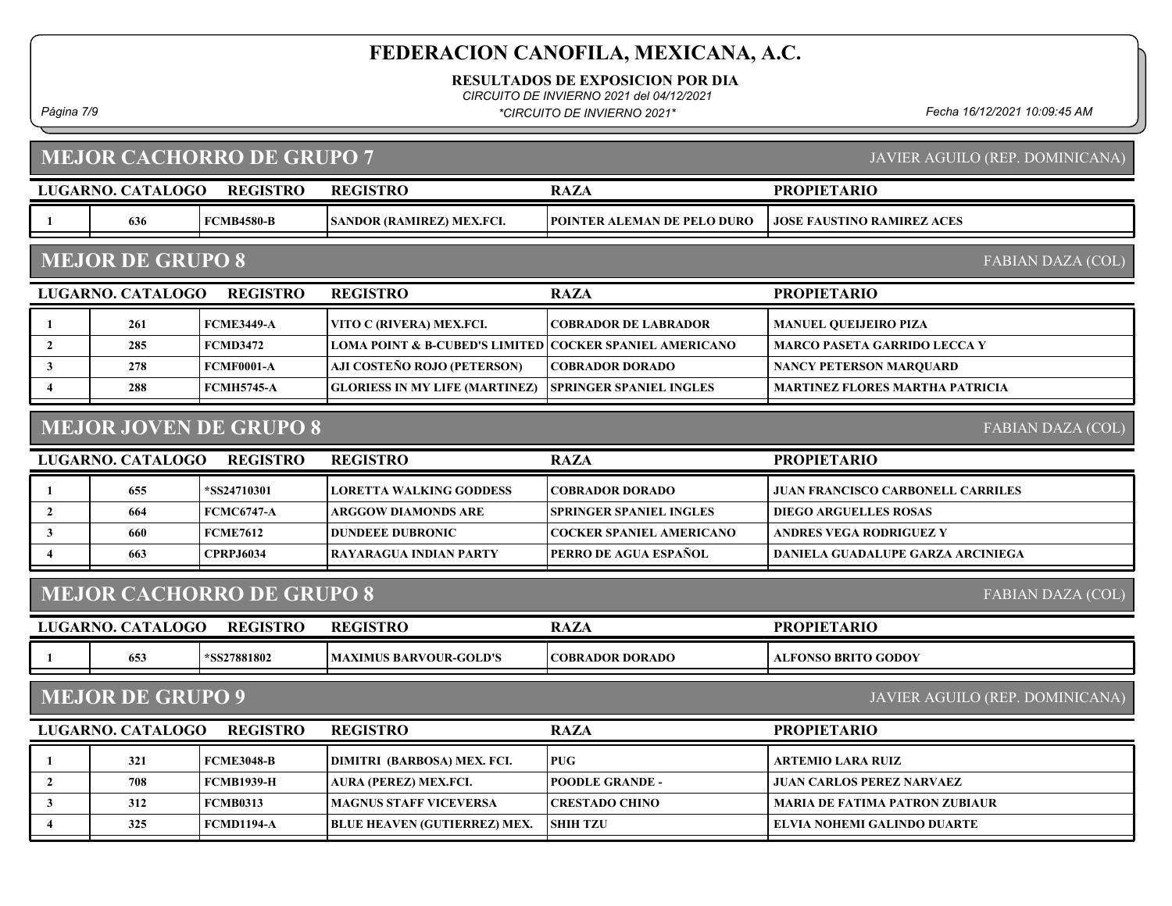RESULTADOS DE EXPOSICION POR DIA

CIRCUITO DE INVIERNO 2021 del 04/12/2021

Página 7/9 Fecha 16/12/2021 10:09:45 AM \*CIRCUITO DE INVIERNO 2021\*

|                                                            |                                                     | <b>MEJOR CACHORRO DE GRUPO 7</b> | JAVIER AGUILO (REP. DOMINICANA)           |                                 |                                          |  |  |  |
|------------------------------------------------------------|-----------------------------------------------------|----------------------------------|-------------------------------------------|---------------------------------|------------------------------------------|--|--|--|
|                                                            | LUGARNO. CATALOGO                                   | <b>REGISTRO</b>                  | <b>REGISTRO</b>                           | <b>RAZA</b>                     | <b>PROPIETARIO</b>                       |  |  |  |
| -1                                                         | 636                                                 | <b>FCMB4580-B</b>                | SANDOR (RAMIREZ) MEX.FCI.                 | POINTER ALEMAN DE PELO DURO     | <b>JOSE FAUSTINO RAMIREZ ACES</b>        |  |  |  |
|                                                            | <b>MEJOR DE GRUPO 8</b><br><b>FABIAN DAZA (COL)</b> |                                  |                                           |                                 |                                          |  |  |  |
|                                                            | LUGARNO. CATALOGO                                   | <b>REGISTRO</b>                  | <b>REGISTRO</b>                           | <b>RAZA</b>                     | <b>PROPIETARIO</b>                       |  |  |  |
| $\mathbf{1}$                                               | 261                                                 | <b>FCME3449-A</b>                | VITO C (RIVERA) MEX.FCI.                  | <b>COBRADOR DE LABRADOR</b>     | <b>MANUEL QUEIJEIRO PIZA</b>             |  |  |  |
| $\overline{2}$                                             | 285                                                 | <b>FCMD3472</b>                  | <b>LOMA POINT &amp; B-CUBED'S LIMITED</b> | <b>COCKER SPANIEL AMERICANO</b> | <b>MARCO PASETA GARRIDO LECCA Y</b>      |  |  |  |
| 3                                                          | 278                                                 | <b>FCMF0001-A</b>                | AJI COSTEÑO ROJO (PETERSON)               | <b>COBRADOR DORADO</b>          | <b>NANCY PETERSON MARQUARD</b>           |  |  |  |
|                                                            | 288                                                 | <b>FCMH5745-A</b>                | <b>GLORIESS IN MY LIFE (MARTINEZ)</b>     | <b>SPRINGER SPANIEL INGLES</b>  | <b>MARTINEZ FLORES MARTHA PATRICIA</b>   |  |  |  |
|                                                            |                                                     | <b>MEJOR JOVEN DE GRUPO 8</b>    |                                           |                                 | <b>FABIAN DAZA (COL)</b>                 |  |  |  |
|                                                            | LUGARNO. CATALOGO                                   | <b>REGISTRO</b>                  | <b>REGISTRO</b>                           | <b>RAZA</b>                     | <b>PROPIETARIO</b>                       |  |  |  |
|                                                            | 655                                                 | *SS24710301                      | LORETTA WALKING GODDESS                   | <b>COBRADOR DORADO</b>          | <b>JUAN FRANCISCO CARBONELL CARRILES</b> |  |  |  |
| $\overline{2}$                                             | 664                                                 | <b>FCMC6747-A</b>                | ARGGOW DIAMONDS ARE                       | SPRINGER SPANIEL INGLES         | <b>DIEGO ARGUELLES ROSAS</b>             |  |  |  |
| 3                                                          | 660                                                 | <b>FCME7612</b>                  | <b>DUNDEEE DUBRONIC</b>                   | <b>COCKER SPANIEL AMERICANO</b> | <b>ANDRES VEGA RODRIGUEZ Y</b>           |  |  |  |
|                                                            | 663                                                 | <b>CPRPJ6034</b>                 | <b>RAYARAGUA INDIAN PARTY</b>             | PERRO DE AGUA ESPAÑOL           | DANIELA GUADALUPE GARZA ARCINIEGA        |  |  |  |
|                                                            |                                                     | <b>MEJOR CACHORRO DE GRUPO 8</b> |                                           |                                 | <b>FABIAN DAZA (COL)</b>                 |  |  |  |
|                                                            | LUGARNO. CATALOGO                                   | <b>REGISTRO</b>                  | <b>REGISTRO</b>                           | <b>RAZA</b>                     | <b>PROPIETARIO</b>                       |  |  |  |
|                                                            | 653                                                 | *SS27881802                      | <b>MAXIMUS BARVOUR-GOLD'S</b>             | <b>COBRADOR DORADO</b>          | <b>ALFONSO BRITO GODOY</b>               |  |  |  |
| <b>MEJOR DE GRUPO 9</b><br>JAVIER AGUILO (REP. DOMINICANA) |                                                     |                                  |                                           |                                 |                                          |  |  |  |
|                                                            | LUGARNO. CATALOGO                                   | <b>REGISTRO</b>                  | <b>REGISTRO</b>                           | <b>RAZA</b>                     | <b>PROPIETARIO</b>                       |  |  |  |
|                                                            | 321                                                 | <b>FCME3048-B</b>                | <b>DIMITRI (BARBOSA) MEX. FCI.</b>        | <b>PUG</b>                      | <b>ARTEMIO LARA RUIZ</b>                 |  |  |  |
| $\overline{2}$                                             | 708                                                 | <b>FCMB1939-H</b>                | <b>AURA (PEREZ) MEX.FCI.</b>              | <b>POODLE GRANDE -</b>          | <b>JUAN CARLOS PEREZ NARVAEZ</b>         |  |  |  |
| $\mathbf{3}$                                               | 312                                                 | <b>FCMB0313</b>                  | <b>MAGNUS STAFF VICEVERSA</b>             | <b>CRESTADO CHINO</b>           | MARIA DE FATIMA PATRON ZUBIAUR           |  |  |  |
| $\overline{\mathbf{4}}$                                    | 325                                                 | <b>FCMD1194-A</b>                | BLUE HEAVEN (GUTIERREZ) MEX.              | <b>SHIH TZU</b>                 | ELVIA NOHEMI GALINDO DUARTE              |  |  |  |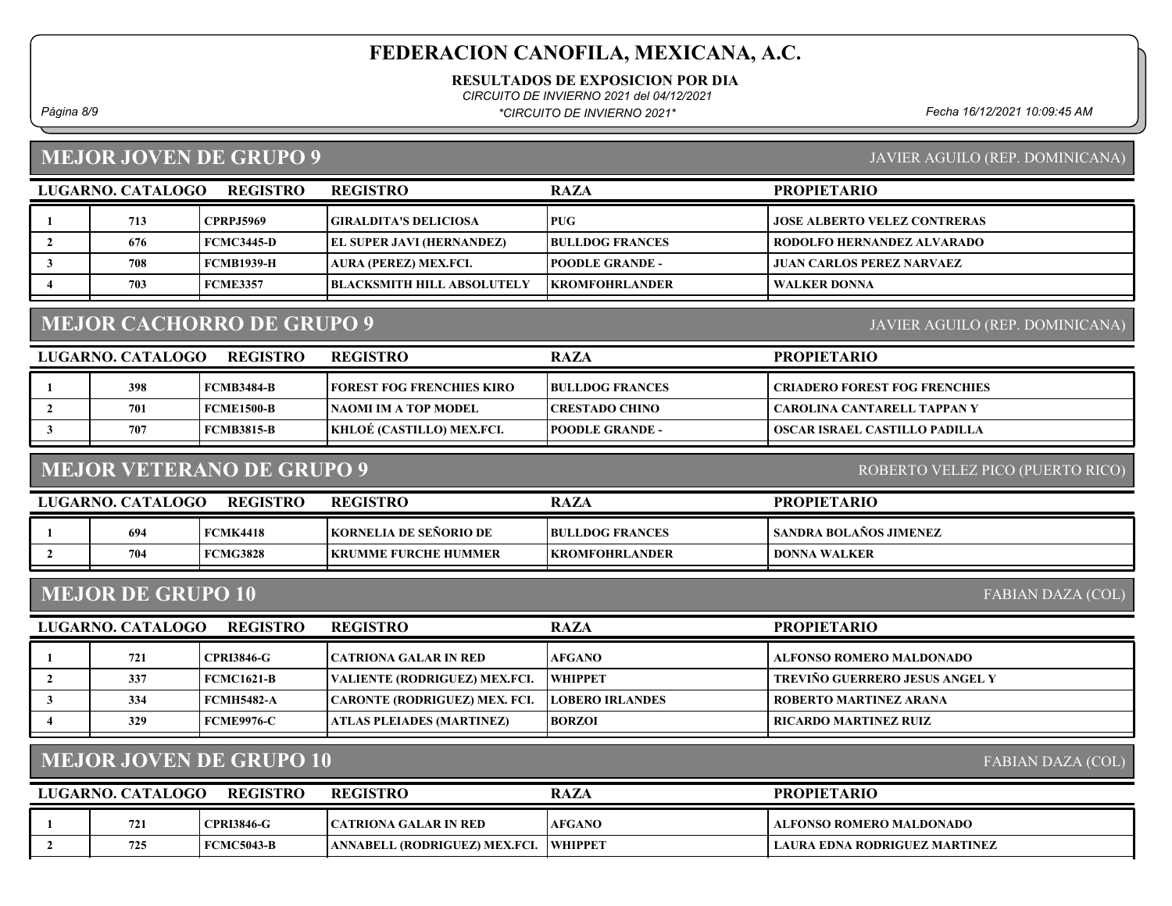RESULTADOS DE EXPOSICION POR DIA

CIRCUITO DE INVIERNO 2021 del 04/12/2021

Página 8/9 Fecha 16/12/2021 10:09:45 AM \*CIRCUITO DE INVIERNO 2021\*

#### MEJOR JOVEN DE GRUPO 9

JAVIER AGUILO (REP. DOMINICANA)

| <b>LUGARNO. CATALOGO</b> | <b>REGISTRO</b>   | <b>REGISTRO</b>                  | <b>RAZA</b>            | <b>PROPIETARIO</b>                  |
|--------------------------|-------------------|----------------------------------|------------------------|-------------------------------------|
| 713                      | <b>CPRPJ5969</b>  | <b>GIRALDITA'S DELICIOSA</b>     | PUG                    | <b>JOSE ALBERTO VELEZ CONTRERAS</b> |
| 676                      | <b>FCMC3445-D</b> | <b>EL SUPER JAVI (HERNANDEZ)</b> | <b>BULLDOG FRANCES</b> | RODOLFO HERNANDEZ ALVARADO          |
| 708                      | <b>FCMB1939-H</b> | AURA (PEREZ) MEX.FCI.            | <b>POODLE GRANDE -</b> | JUAN CARLOS PEREZ NARVAEZ           |
| 703                      | FCME3357          | BLACKSMITH HILL ABSOLUTELY       | <b>KROMFOHRLANDER</b>  | <b>WALKER DONNA</b>                 |
|                          |                   |                                  |                        |                                     |

## MEJOR CACHORRO DE GRUPO 9

| LUGARNO. CATALOGO | <b>REGISTRO</b> | <b>REGISTRO</b>                   | <b>RAZA</b>             | <b>PROPIETARIO</b>                   |
|-------------------|-----------------|-----------------------------------|-------------------------|--------------------------------------|
| 398               | FCMB3484-B      | <b>FOREST FOG FRENCHIES KIRO</b>  | <b>BULLDOG FRANCES</b>  | <b>CRIADERO FOREST FOG FRENCHIES</b> |
| 701               | FCME1500-B      | INAOMI IM A TOP MODEL.            | CRESTADO CHINO          | CAROLINA CANTARELL TAPPAN Y          |
| 707               | FCMB3815-B      | <b>IKHLOE (CASTILLO) MEX.FCI.</b> | <b>IPOODLE GRANDE -</b> | OSCAR ISRAEL CASTILLO PADILLA        |
|                   |                 |                                   |                         |                                      |

#### MEJOR VETERANO DE GRUPO 9

ROBERTO VELEZ PICO (PUERTO RICO)

JAVIER AGUILO (REP. DOMINICANA)

| LUGARNO. CATALOGO | <b>REGISTRO</b> | <b>REGISTRO</b>                | <b>RAZA</b>            | <b>PROPIETARIO</b>     |
|-------------------|-----------------|--------------------------------|------------------------|------------------------|
| 694               | FCMK4418        | <b>TRORNELIA DE SEÑORIO DE</b> | <b>BULLDOG FRANCES</b> | SANDRA BOLAÑOS JIMENEZ |
| 704               | FCMG3828        | <b>IKRUMME FURCHE HUMMER</b>   | KROMFOHRLANDER         | I DONNA WALKER         |

#### MEJOR DE GRUPO 10

FABIAN DAZA (COL)

| LUGARNO. CATALOGO | <b>REGISTRO</b>   | <b>REGISTRO</b>                  | <b>RAZA</b>            | <b>PROPIETARIO</b>                    |
|-------------------|-------------------|----------------------------------|------------------------|---------------------------------------|
| 721               | <b>CPRI3846-G</b> | CATRIONA GALAR IN RED            | <b>AFGANO</b>          | ALFONSO ROMERO MALDONADO              |
| 337               | <b>FCMC1621-B</b> | VALIENTE (RODRIGUEZ) MEX.FCI.    | <b>WHIPPET</b>         | <b>TREVIÑO GUERRERO JESUS ANGEL Y</b> |
| 334               | <b>FCMH5482-A</b> | CARONTE (RODRIGUEZ) MEX. FCI.    | <b>LOBERO IRLANDES</b> | ROBERTO MARTINEZ ARANA                |
| 329               | <b>FCME9976-C</b> | <b>ATLAS PLEIADES (MARTINEZ)</b> | <b>BORZOI</b>          | RICARDO MARTINEZ RUIZ                 |

# MEJOR JOVEN DE GRUPO 10

FABIAN DAZA (COL)

| LUGARNO. CATALOGO | <b>REGISTRO</b>   | <b>REGISTRO</b>                       | <b>RAZA</b>   | <b>PROPIETARIO</b>            |
|-------------------|-------------------|---------------------------------------|---------------|-------------------------------|
| 721               | <b>CPRI3846-G</b> | <b>ICATRIONA GALAR IN RED</b>         | <b>AFGANO</b> | ALFONSO ROMERO MALDONADO      |
| 725               | FCMC5043-B        | <b>TANNABELL (RODRIGUEZ) MEX.FCI.</b> | . IWHIPPET    | LAURA EDNA RODRIGUEZ MARTINEZ |